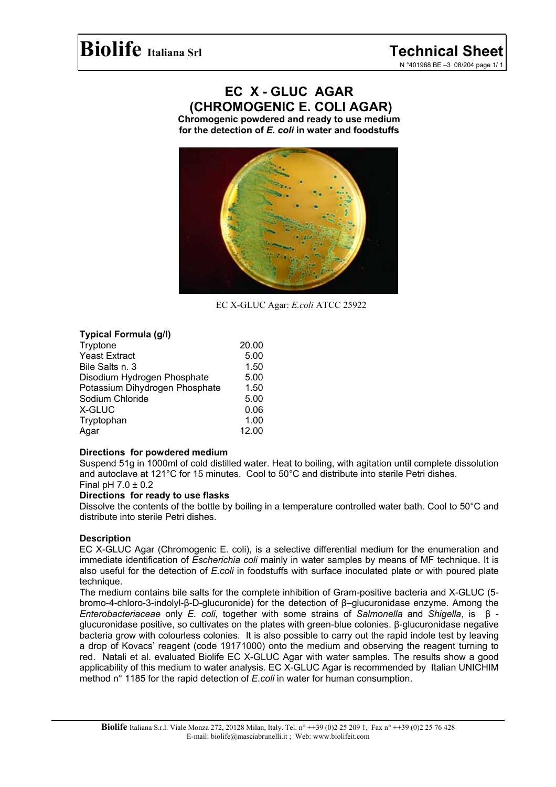# **EC X - GLUC AGAR (CHROMOGENIC E. COLI AGAR)**

**Chromogenic powdered and ready to use medium for the detection of** *E. coli* **in water and foodstuffs**



EC X-GLUC Agar: *E.coli* ATCC 25922

## **Typical Formula (g/l)**

| Tryptone                       | 20.00 |
|--------------------------------|-------|
| <b>Yeast Extract</b>           | 5.00  |
| Bile Salts n. 3                | 1.50  |
| Disodium Hydrogen Phosphate    | 5.00  |
| Potassium Dihydrogen Phosphate | 1.50  |
| Sodium Chloride                | 5.00  |
| X-GLUC                         | 0.06  |
| Tryptophan                     | 1.00  |
| Agar                           | 12.00 |
|                                |       |

### **Directions for powdered medium**

Suspend 51g in 1000ml of cold distilled water. Heat to boiling, with agitation until complete dissolution and autoclave at 121°C for 15 minutes. Cool to 50°C and distribute into sterile Petri dishes. Final pH  $7.0 \pm 0.2$ 

### **Directions for ready to use flasks**

Dissolve the contents of the bottle by boiling in a temperature controlled water bath. Cool to 50°C and distribute into sterile Petri dishes.

## **Description**

EC X-GLUC Agar (Chromogenic E. coli), is a selective differential medium for the enumeration and immediate identification of *Escherichia coli* mainly in water samples by means of MF technique. It is also useful for the detection of *E.coli* in foodstuffs with surface inoculated plate or with poured plate technique.

The medium contains bile salts for the complete inhibition of Gram-positive bacteria and X-GLUC (5 bromo-4-chloro-3-indolyl-β-D-glucuronide) for the detection of β–glucuronidase enzyme. Among the *Enterobacteriaceae* only *E. coli*, together with some strains of *Salmonella* and *Shigella*, is β glucuronidase positive, so cultivates on the plates with green-blue colonies. β-glucuronidase negative bacteria grow with colourless colonies. It is also possible to carry out the rapid indole test by leaving a drop of Kovacs' reagent (code 19171000) onto the medium and observing the reagent turning to red. Natali et al. evaluated Biolife EC X-GLUC Agar with water samples. The results show a good applicability of this medium to water analysis. EC X-GLUC Agar is recommended by Italian UNICHIM method n° 1185 for the rapid detection of *E.coli* in water for human consumption.